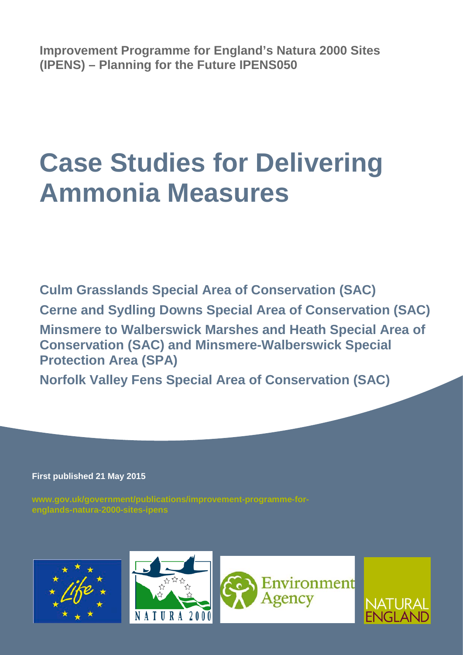**Improvement Programme for England's Natura 2000 Sites (IPENS) – Planning for the Future IPENS050**

# **Case Studies for Delivering Ammonia Measures**

**Culm Grasslands Special Area of Conservation (SAC) Cerne and Sydling Downs Special Area of Conservation (SAC) Minsmere to Walberswick Marshes and Heath Special Area of Conservation (SAC) and Minsmere-Walberswick Special Protection Area (SPA)**

**Norfolk Valley Fens Special Area of Conservation (SAC)** 

**First published 21 May 2015**

**[www.gov.uk/government/publications/improvement-programme-for](http://www.gov.uk/government/publications/improvement-programme-for-englands-natura-2000-sites-ipens)[englands-natura-2000-sites-ipens](http://www.gov.uk/government/publications/improvement-programme-for-englands-natura-2000-sites-ipens)**



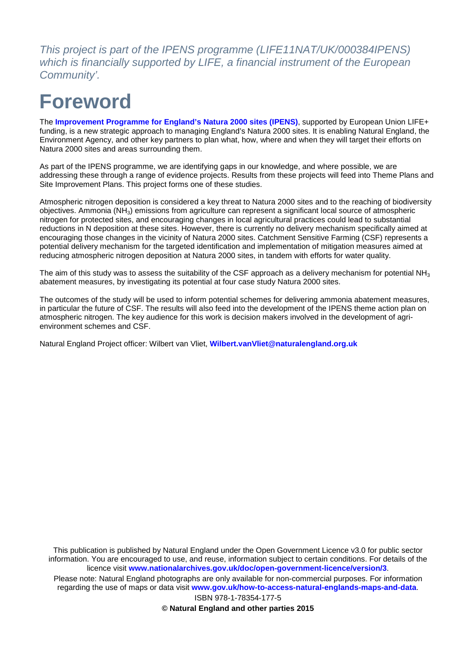*This project is part of the IPENS programme (LIFE11NAT/UK/000384IPENS) which is financially supported by LIFE, a financial instrument of the European Community'.*

## **Foreword**

The **[Improvement Programme for England's Natura 2000 sites \(IPENS\)](http://www.naturalengland.org.uk/ipens2000)**, supported by European Union LIFE+ funding, is a new strategic approach to managing England's Natura 2000 sites. It is enabling Natural England, the Environment Agency, and other key partners to plan what, how, where and when they will target their efforts on Natura 2000 sites and areas surrounding them.

As part of the IPENS programme, we are identifying gaps in our knowledge, and where possible, we are addressing these through a range of evidence projects. Results from these projects will feed into Theme Plans and Site Improvement Plans. This project forms one of these studies.

Atmospheric nitrogen deposition is considered a key threat to Natura 2000 sites and to the reaching of biodiversity objectives. Ammonia (NH3) emissions from agriculture can represent a significant local source of atmospheric nitrogen for protected sites, and encouraging changes in local agricultural practices could lead to substantial reductions in N deposition at these sites. However, there is currently no delivery mechanism specifically aimed at encouraging those changes in the vicinity of Natura 2000 sites. Catchment Sensitive Farming (CSF) represents a potential delivery mechanism for the targeted identification and implementation of mitigation measures aimed at reducing atmospheric nitrogen deposition at Natura 2000 sites, in tandem with efforts for water quality.

The aim of this study was to assess the suitability of the CSF approach as a delivery mechanism for potential NH<sub>3</sub> abatement measures, by investigating its potential at four case study Natura 2000 sites.

The outcomes of the study will be used to inform potential schemes for delivering ammonia abatement measures, in particular the future of CSF. The results will also feed into the development of the IPENS theme action plan on atmospheric nitrogen. The key audience for this work is decision makers involved in the development of agrienvironment schemes and CSF.

Natural England Project officer: Wilbert van Vliet, **[Wilbert.vanVliet@naturalengland.org.uk](mailto:Wilbert.vanVliet@naturalengland.org.uk)**

This publication is published by Natural England under the Open Government Licence v3.0 for public sector information. You are encouraged to use, and reuse, information subject to certain conditions. For details of the licence visit **[www.nationalarchives.gov.uk/doc/open-government-licence/version/3](http://www.nationalarchives.gov.uk/doc/open-government-licence/version/3)**.

Please note: Natural England photographs are only available for non-commercial purposes. For information regarding the use of maps or data visit **[www.gov.uk/how-to-access-natural-englands-maps-and-data](http://www.gov.uk/how-to-access-natural-englands-maps-and-data)**.

ISBN 978-1-78354-177-5

**© Natural England and other parties 2015**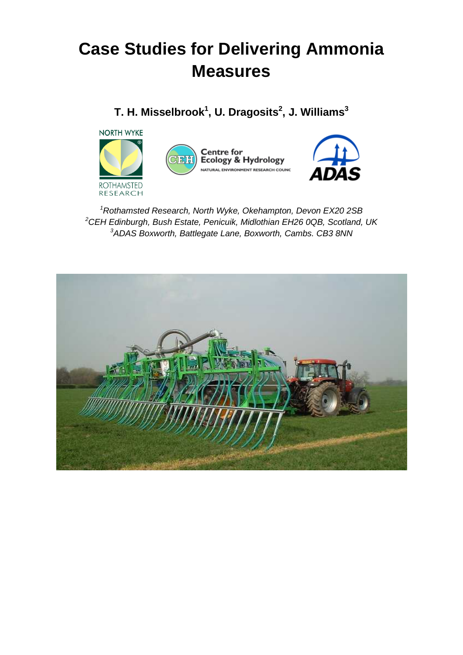### **Case Studies for Delivering Ammonia Measures**

**T. H. Misselbrook1 , U. Dragosits2 , J. Williams3**





*1 Rothamsted Research, North Wyke, Okehampton, Devon EX20 2SB 2 CEH Edinburgh, Bush Estate, Penicuik, Midlothian EH26 0QB, Scotland, UK 3 ADAS Boxworth, Battlegate Lane, Boxworth, Cambs. CB3 8NN*

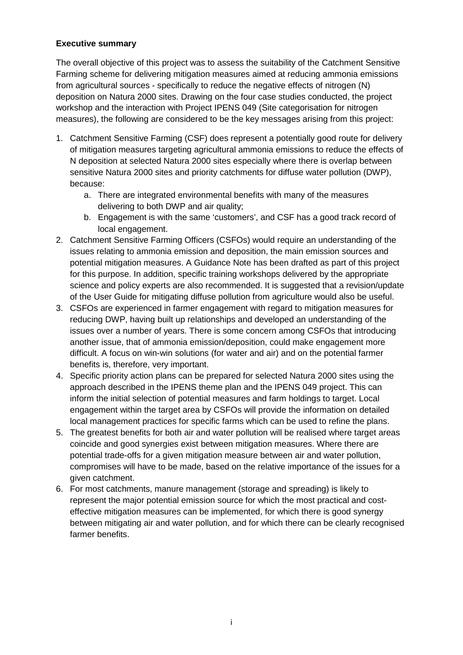#### **Executive summary**

The overall objective of this project was to assess the suitability of the Catchment Sensitive Farming scheme for delivering mitigation measures aimed at reducing ammonia emissions from agricultural sources - specifically to reduce the negative effects of nitrogen (N) deposition on Natura 2000 sites. Drawing on the four case studies conducted, the project workshop and the interaction with Project IPENS 049 (Site categorisation for nitrogen measures), the following are considered to be the key messages arising from this project:

- 1. Catchment Sensitive Farming (CSF) does represent a potentially good route for delivery of mitigation measures targeting agricultural ammonia emissions to reduce the effects of N deposition at selected Natura 2000 sites especially where there is overlap between sensitive Natura 2000 sites and priority catchments for diffuse water pollution (DWP), because:
	- a. There are integrated environmental benefits with many of the measures delivering to both DWP and air quality;
	- b. Engagement is with the same 'customers', and CSF has a good track record of local engagement.
- 2. Catchment Sensitive Farming Officers (CSFOs) would require an understanding of the issues relating to ammonia emission and deposition, the main emission sources and potential mitigation measures. A Guidance Note has been drafted as part of this project for this purpose. In addition, specific training workshops delivered by the appropriate science and policy experts are also recommended. It is suggested that a revision/update of the User Guide for mitigating diffuse pollution from agriculture would also be useful.
- 3. CSFOs are experienced in farmer engagement with regard to mitigation measures for reducing DWP, having built up relationships and developed an understanding of the issues over a number of years. There is some concern among CSFOs that introducing another issue, that of ammonia emission/deposition, could make engagement more difficult. A focus on win-win solutions (for water and air) and on the potential farmer benefits is, therefore, very important.
- 4. Specific priority action plans can be prepared for selected Natura 2000 sites using the approach described in the IPENS theme plan and the IPENS 049 project. This can inform the initial selection of potential measures and farm holdings to target. Local engagement within the target area by CSFOs will provide the information on detailed local management practices for specific farms which can be used to refine the plans.
- 5. The greatest benefits for both air and water pollution will be realised where target areas coincide and good synergies exist between mitigation measures. Where there are potential trade-offs for a given mitigation measure between air and water pollution, compromises will have to be made, based on the relative importance of the issues for a given catchment.
- 6. For most catchments, manure management (storage and spreading) is likely to represent the major potential emission source for which the most practical and costeffective mitigation measures can be implemented, for which there is good synergy between mitigating air and water pollution, and for which there can be clearly recognised farmer benefits.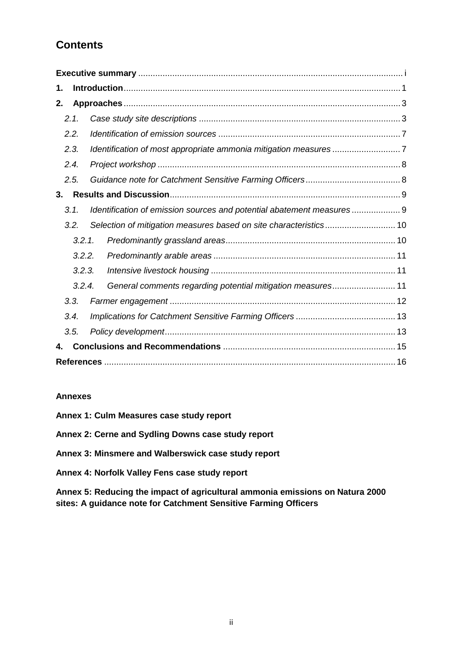### **Contents**

| 1.                         |       |  |                                                                       |  |
|----------------------------|-------|--|-----------------------------------------------------------------------|--|
| 2.                         |       |  |                                                                       |  |
|                            | 2.1.  |  |                                                                       |  |
|                            | 2.2.  |  |                                                                       |  |
|                            | 2.3.  |  |                                                                       |  |
|                            | 2.4.  |  |                                                                       |  |
|                            | 2.5.  |  |                                                                       |  |
| 3.                         |       |  |                                                                       |  |
|                            | 3.1.  |  | Identification of emission sources and potential abatement measures 9 |  |
|                            | 3.2.  |  |                                                                       |  |
|                            | 3.2.1 |  |                                                                       |  |
| 3.2.2.<br>3.2.3.<br>3.2.4. |       |  |                                                                       |  |
|                            |       |  |                                                                       |  |
|                            |       |  | General comments regarding potential mitigation measures 11           |  |
|                            | 3.3.  |  |                                                                       |  |
|                            | 3.4.  |  |                                                                       |  |
|                            | 3.5.  |  |                                                                       |  |
| 4.                         |       |  |                                                                       |  |
|                            |       |  |                                                                       |  |

#### **Annexes**

- **Annex 1: Culm Measures case study report**
- **Annex 2: Cerne and Sydling Downs case study report**
- **Annex 3: Minsmere and Walberswick case study report**
- **Annex 4: Norfolk Valley Fens case study report**

**Annex 5: Reducing the impact of agricultural ammonia emissions on Natura 2000 sites: A guidance note for Catchment Sensitive Farming Officers**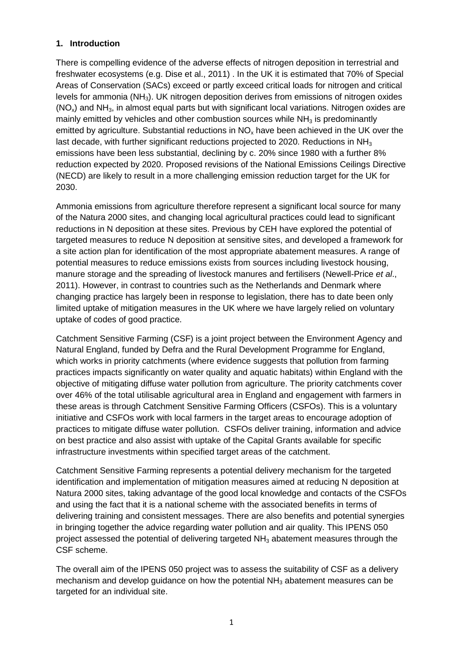#### **1. Introduction**

There is compelling evidence of the adverse effects of nitrogen deposition in terrestrial and freshwater ecosystems (e.g. Dise et al., 2011) . In the UK it is estimated that 70% of Special Areas of Conservation (SACs) exceed or partly exceed critical loads for nitrogen and critical levels for ammonia (NH<sub>3</sub>). UK nitrogen deposition derives from emissions of nitrogen oxides  $(NO<sub>x</sub>)$  and  $NH<sub>3</sub>$ , in almost equal parts but with significant local variations. Nitrogen oxides are mainly emitted by vehicles and other combustion sources while  $NH<sub>3</sub>$  is predominantly emitted by agriculture. Substantial reductions in  $NO<sub>x</sub>$  have been achieved in the UK over the last decade, with further significant reductions projected to 2020. Reductions in  $NH<sub>3</sub>$ emissions have been less substantial, declining by c. 20% since 1980 with a further 8% reduction expected by 2020. Proposed revisions of the National Emissions Ceilings Directive (NECD) are likely to result in a more challenging emission reduction target for the UK for 2030.

Ammonia emissions from agriculture therefore represent a significant local source for many of the Natura 2000 sites, and changing local agricultural practices could lead to significant reductions in N deposition at these sites. Previous by CEH have explored the potential of targeted measures to reduce N deposition at sensitive sites, and developed a framework for a site action plan for identification of the most appropriate abatement measures. A range of potential measures to reduce emissions exists from sources including livestock housing, manure storage and the spreading of livestock manures and fertilisers (Newell-Price *et al*., 2011). However, in contrast to countries such as the Netherlands and Denmark where changing practice has largely been in response to legislation, there has to date been only limited uptake of mitigation measures in the UK where we have largely relied on voluntary uptake of codes of good practice.

Catchment Sensitive Farming (CSF) is a joint project between the Environment Agency and Natural England, funded by Defra and the Rural Development Programme for England, which works in priority catchments (where evidence suggests that pollution from farming practices impacts significantly on water quality and aquatic habitats) within England with the objective of mitigating diffuse water pollution from agriculture. The priority catchments cover over 46% of the total utilisable agricultural area in England and engagement with farmers in these areas is through Catchment Sensitive Farming Officers (CSFOs). This is a voluntary initiative and CSFOs work with local farmers in the target areas to encourage adoption of practices to mitigate diffuse water pollution. CSFOs deliver training, information and advice on best practice and also assist with uptake of the Capital Grants available for specific infrastructure investments within specified target areas of the catchment.

Catchment Sensitive Farming represents a potential delivery mechanism for the targeted identification and implementation of mitigation measures aimed at reducing N deposition at Natura 2000 sites, taking advantage of the good local knowledge and contacts of the CSFOs and using the fact that it is a national scheme with the associated benefits in terms of delivering training and consistent messages. There are also benefits and potential synergies in bringing together the advice regarding water pollution and air quality. This IPENS 050 project assessed the potential of delivering targeted  $NH<sub>3</sub>$  abatement measures through the CSF scheme.

The overall aim of the IPENS 050 project was to assess the suitability of CSF as a delivery mechanism and develop guidance on how the potential  $NH<sub>3</sub>$  abatement measures can be targeted for an individual site.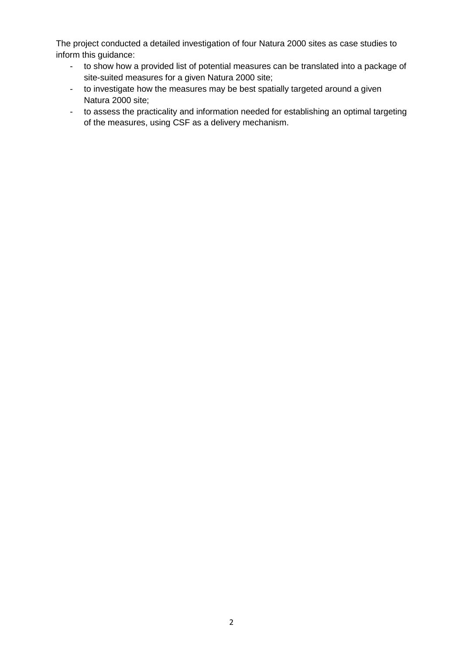The project conducted a detailed investigation of four Natura 2000 sites as case studies to inform this guidance:

- to show how a provided list of potential measures can be translated into a package of site-suited measures for a given Natura 2000 site;
- to investigate how the measures may be best spatially targeted around a given Natura 2000 site;
- to assess the practicality and information needed for establishing an optimal targeting of the measures, using CSF as a delivery mechanism.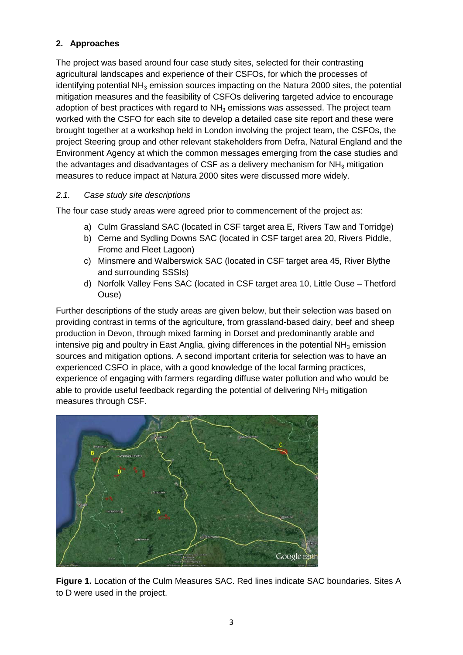#### **2. Approaches**

The project was based around four case study sites, selected for their contrasting agricultural landscapes and experience of their CSFOs, for which the processes of identifying potential  $NH<sub>3</sub>$  emission sources impacting on the Natura 2000 sites, the potential mitigation measures and the feasibility of CSFOs delivering targeted advice to encourage adoption of best practices with regard to  $NH<sub>3</sub>$  emissions was assessed. The project team worked with the CSFO for each site to develop a detailed case site report and these were brought together at a workshop held in London involving the project team, the CSFOs, the project Steering group and other relevant stakeholders from Defra, Natural England and the Environment Agency at which the common messages emerging from the case studies and the advantages and disadvantages of CSF as a delivery mechanism for  $NH<sub>3</sub>$  mitigation measures to reduce impact at Natura 2000 sites were discussed more widely.

#### *2.1. Case study site descriptions*

The four case study areas were agreed prior to commencement of the project as:

- a) Culm Grassland SAC (located in CSF target area E, Rivers Taw and Torridge)
- b) Cerne and Sydling Downs SAC (located in CSF target area 20, Rivers Piddle, Frome and Fleet Lagoon)
- c) Minsmere and Walberswick SAC (located in CSF target area 45, River Blythe and surrounding SSSIs)
- d) Norfolk Valley Fens SAC (located in CSF target area 10, Little Ouse Thetford Ouse)

Further descriptions of the study areas are given below, but their selection was based on providing contrast in terms of the agriculture, from grassland-based dairy, beef and sheep production in Devon, through mixed farming in Dorset and predominantly arable and intensive pig and poultry in East Anglia, giving differences in the potential  $NH<sub>3</sub>$  emission sources and mitigation options. A second important criteria for selection was to have an experienced CSFO in place, with a good knowledge of the local farming practices, experience of engaging with farmers regarding diffuse water pollution and who would be able to provide useful feedback regarding the potential of delivering  $NH<sub>3</sub>$  mitigation measures through CSF.



**Figure 1.** Location of the Culm Measures SAC. Red lines indicate SAC boundaries. Sites A to D were used in the project.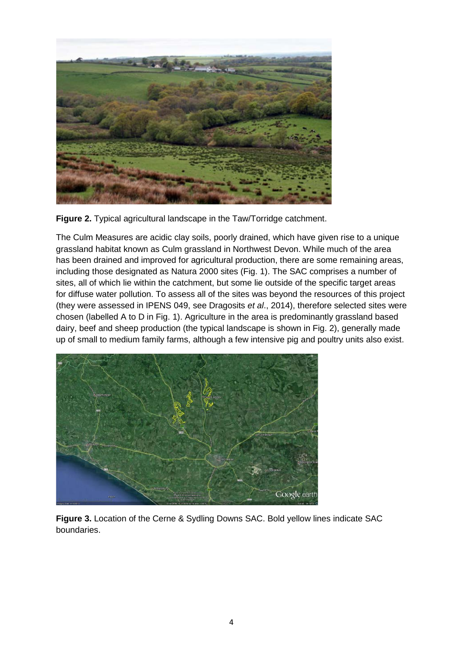

**Figure 2.** Typical agricultural landscape in the Taw/Torridge catchment.

The Culm Measures are acidic clay soils, poorly drained, which have given rise to a unique grassland habitat known as Culm grassland in Northwest Devon. While much of the area has been drained and improved for agricultural production, there are some remaining areas, including those designated as Natura 2000 sites (Fig. 1). The SAC comprises a number of sites, all of which lie within the catchment, but some lie outside of the specific target areas for diffuse water pollution. To assess all of the sites was beyond the resources of this project (they were assessed in IPENS 049, see Dragosits *et al*., 2014), therefore selected sites were chosen (labelled A to D in Fig. 1). Agriculture in the area is predominantly grassland based dairy, beef and sheep production (the typical landscape is shown in Fig. 2), generally made up of small to medium family farms, although a few intensive pig and poultry units also exist.



**Figure 3.** Location of the Cerne & Sydling Downs SAC. Bold yellow lines indicate SAC boundaries.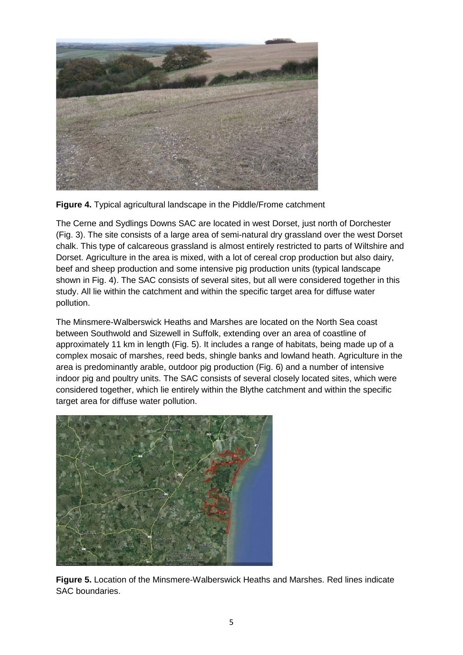

**Figure 4.** Typical agricultural landscape in the Piddle/Frome catchment

The Cerne and Sydlings Downs SAC are located in west Dorset, just north of Dorchester (Fig. 3). The site consists of a large area of semi-natural dry grassland over the west Dorset chalk. This type of calcareous grassland is almost entirely restricted to parts of Wiltshire and Dorset. Agriculture in the area is mixed, with a lot of cereal crop production but also dairy, beef and sheep production and some intensive pig production units (typical landscape shown in Fig. 4). The SAC consists of several sites, but all were considered together in this study. All lie within the catchment and within the specific target area for diffuse water pollution.

The Minsmere-Walberswick Heaths and Marshes are located on the North Sea coast between Southwold and Sizewell in Suffolk, extending over an area of coastline of approximately 11 km in length (Fig. 5). It includes a range of habitats, being made up of a complex mosaic of marshes, reed beds, shingle banks and lowland heath. Agriculture in the area is predominantly arable, outdoor pig production (Fig. 6) and a number of intensive indoor pig and poultry units. The SAC consists of several closely located sites, which were considered together, which lie entirely within the Blythe catchment and within the specific target area for diffuse water pollution.



**Figure 5.** Location of the Minsmere-Walberswick Heaths and Marshes. Red lines indicate SAC boundaries.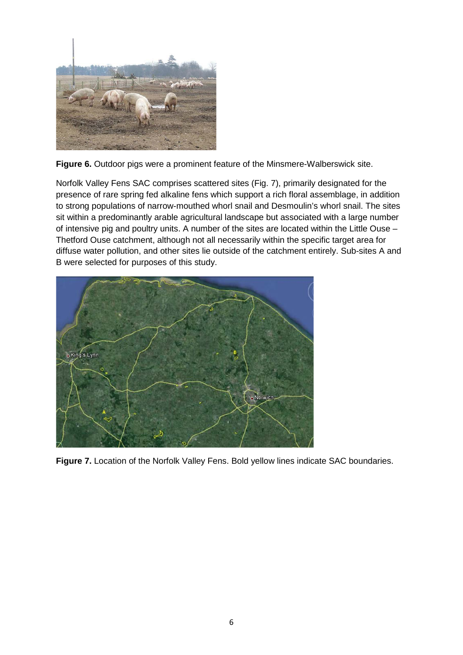

**Figure 6.** Outdoor pigs were a prominent feature of the Minsmere-Walberswick site.

Norfolk Valley Fens SAC comprises scattered sites (Fig. 7), primarily designated for the presence of rare spring fed alkaline fens which support a rich floral assemblage, in addition to strong populations of narrow-mouthed whorl snail and Desmoulin's whorl snail. The sites sit within a predominantly arable agricultural landscape but associated with a large number of intensive pig and poultry units. A number of the sites are located within the Little Ouse – Thetford Ouse catchment, although not all necessarily within the specific target area for diffuse water pollution, and other sites lie outside of the catchment entirely. Sub-sites A and B were selected for purposes of this study.



**Figure 7.** Location of the Norfolk Valley Fens. Bold yellow lines indicate SAC boundaries.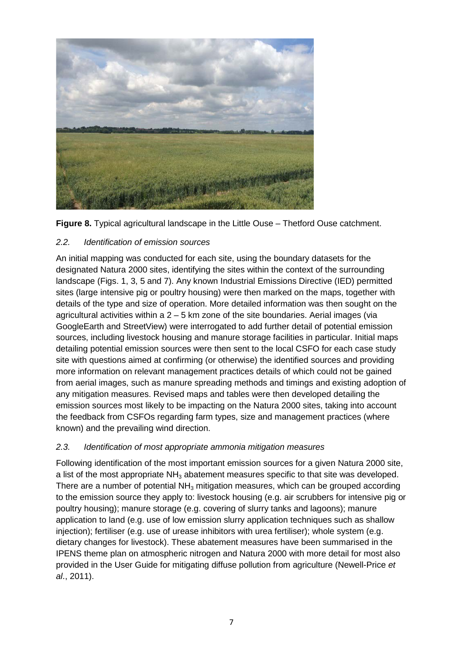

**Figure 8.** Typical agricultural landscape in the Little Ouse – Thetford Ouse catchment.

#### *2.2. Identification of emission sources*

An initial mapping was conducted for each site, using the boundary datasets for the designated Natura 2000 sites, identifying the sites within the context of the surrounding landscape (Figs. 1, 3, 5 and 7). Any known Industrial Emissions Directive (IED) permitted sites (large intensive pig or poultry housing) were then marked on the maps, together with details of the type and size of operation. More detailed information was then sought on the agricultural activities within a  $2 - 5$  km zone of the site boundaries. Aerial images (via GoogleEarth and StreetView) were interrogated to add further detail of potential emission sources, including livestock housing and manure storage facilities in particular. Initial maps detailing potential emission sources were then sent to the local CSFO for each case study site with questions aimed at confirming (or otherwise) the identified sources and providing more information on relevant management practices details of which could not be gained from aerial images, such as manure spreading methods and timings and existing adoption of any mitigation measures. Revised maps and tables were then developed detailing the emission sources most likely to be impacting on the Natura 2000 sites, taking into account the feedback from CSFOs regarding farm types, size and management practices (where known) and the prevailing wind direction.

#### *2.3. Identification of most appropriate ammonia mitigation measures*

Following identification of the most important emission sources for a given Natura 2000 site, a list of the most appropriate  $NH<sub>3</sub>$  abatement measures specific to that site was developed. There are a number of potential  $NH<sub>3</sub>$  mitigation measures, which can be grouped according to the emission source they apply to: livestock housing (e.g. air scrubbers for intensive pig or poultry housing); manure storage (e.g. covering of slurry tanks and lagoons); manure application to land (e.g. use of low emission slurry application techniques such as shallow injection); fertiliser (e.g. use of urease inhibitors with urea fertiliser); whole system (e.g. dietary changes for livestock). These abatement measures have been summarised in the IPENS theme plan on atmospheric nitrogen and Natura 2000 with more detail for most also provided in the User Guide for mitigating diffuse pollution from agriculture (Newell-Price *et al*., 2011).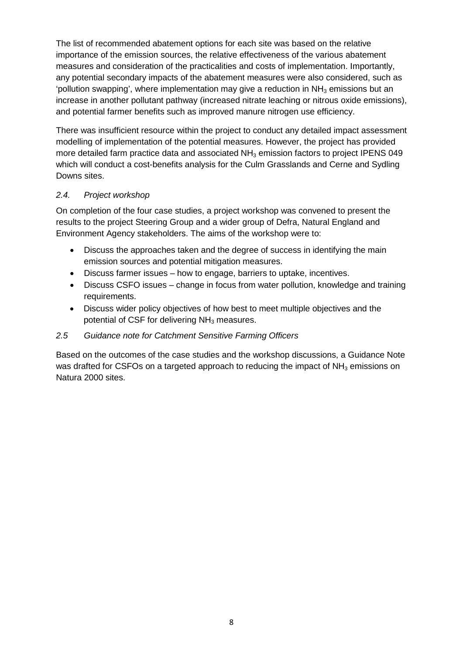The list of recommended abatement options for each site was based on the relative importance of the emission sources, the relative effectiveness of the various abatement measures and consideration of the practicalities and costs of implementation. Importantly, any potential secondary impacts of the abatement measures were also considered, such as 'pollution swapping', where implementation may give a reduction in  $NH<sub>3</sub>$  emissions but an increase in another pollutant pathway (increased nitrate leaching or nitrous oxide emissions), and potential farmer benefits such as improved manure nitrogen use efficiency.

There was insufficient resource within the project to conduct any detailed impact assessment modelling of implementation of the potential measures. However, the project has provided more detailed farm practice data and associated NH<sub>3</sub> emission factors to project IPENS 049 which will conduct a cost-benefits analysis for the Culm Grasslands and Cerne and Sydling Downs sites.

#### *2.4. Project workshop*

On completion of the four case studies, a project workshop was convened to present the results to the project Steering Group and a wider group of Defra, Natural England and Environment Agency stakeholders. The aims of the workshop were to:

- Discuss the approaches taken and the degree of success in identifying the main emission sources and potential mitigation measures.
- Discuss farmer issues how to engage, barriers to uptake, incentives.
- Discuss CSFO issues change in focus from water pollution, knowledge and training requirements.
- Discuss wider policy objectives of how best to meet multiple objectives and the potential of CSF for delivering  $NH<sub>3</sub>$  measures.

#### *2.5 Guidance note for Catchment Sensitive Farming Officers*

Based on the outcomes of the case studies and the workshop discussions, a Guidance Note was drafted for CSFOs on a targeted approach to reducing the impact of  $NH<sub>3</sub>$  emissions on Natura 2000 sites.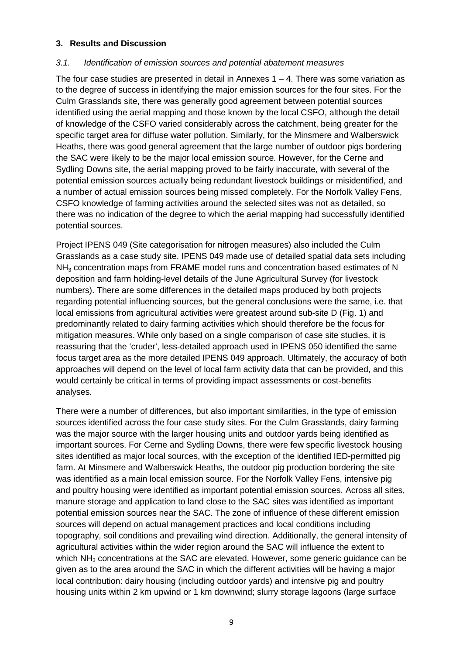#### **3. Results and Discussion**

#### *3.1. Identification of emission sources and potential abatement measures*

The four case studies are presented in detail in Annexes  $1 - 4$ . There was some variation as to the degree of success in identifying the major emission sources for the four sites. For the Culm Grasslands site, there was generally good agreement between potential sources identified using the aerial mapping and those known by the local CSFO, although the detail of knowledge of the CSFO varied considerably across the catchment, being greater for the specific target area for diffuse water pollution. Similarly, for the Minsmere and Walberswick Heaths, there was good general agreement that the large number of outdoor pigs bordering the SAC were likely to be the major local emission source. However, for the Cerne and Sydling Downs site, the aerial mapping proved to be fairly inaccurate, with several of the potential emission sources actually being redundant livestock buildings or misidentified, and a number of actual emission sources being missed completely. For the Norfolk Valley Fens, CSFO knowledge of farming activities around the selected sites was not as detailed, so there was no indication of the degree to which the aerial mapping had successfully identified potential sources.

Project IPENS 049 (Site categorisation for nitrogen measures) also included the Culm Grasslands as a case study site. IPENS 049 made use of detailed spatial data sets including  $NH<sub>3</sub>$  concentration maps from FRAME model runs and concentration based estimates of N deposition and farm holding-level details of the June Agricultural Survey (for livestock numbers). There are some differences in the detailed maps produced by both projects regarding potential influencing sources, but the general conclusions were the same, i.e. that local emissions from agricultural activities were greatest around sub-site D (Fig. 1) and predominantly related to dairy farming activities which should therefore be the focus for mitigation measures. While only based on a single comparison of case site studies, it is reassuring that the 'cruder', less-detailed approach used in IPENS 050 identified the same focus target area as the more detailed IPENS 049 approach. Ultimately, the accuracy of both approaches will depend on the level of local farm activity data that can be provided, and this would certainly be critical in terms of providing impact assessments or cost-benefits analyses.

There were a number of differences, but also important similarities, in the type of emission sources identified across the four case study sites. For the Culm Grasslands, dairy farming was the major source with the larger housing units and outdoor yards being identified as important sources. For Cerne and Sydling Downs, there were few specific livestock housing sites identified as major local sources, with the exception of the identified IED-permitted pig farm. At Minsmere and Walberswick Heaths, the outdoor pig production bordering the site was identified as a main local emission source. For the Norfolk Valley Fens, intensive pig and poultry housing were identified as important potential emission sources. Across all sites, manure storage and application to land close to the SAC sites was identified as important potential emission sources near the SAC. The zone of influence of these different emission sources will depend on actual management practices and local conditions including topography, soil conditions and prevailing wind direction. Additionally, the general intensity of agricultural activities within the wider region around the SAC will influence the extent to which NH<sub>3</sub> concentrations at the SAC are elevated. However, some generic guidance can be given as to the area around the SAC in which the different activities will be having a major local contribution: dairy housing (including outdoor yards) and intensive pig and poultry housing units within 2 km upwind or 1 km downwind; slurry storage lagoons (large surface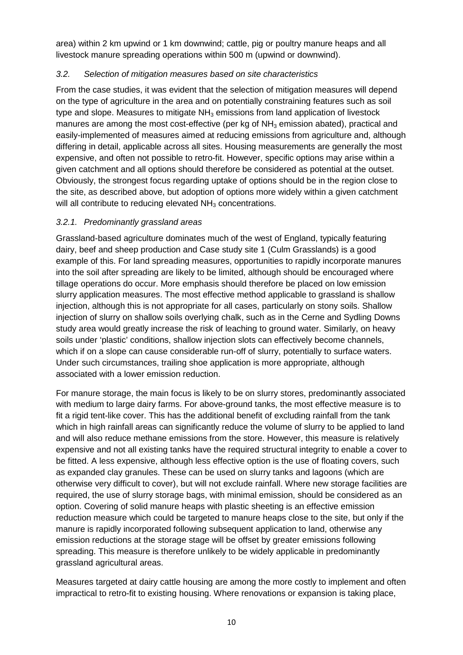area) within 2 km upwind or 1 km downwind; cattle, pig or poultry manure heaps and all livestock manure spreading operations within 500 m (upwind or downwind).

#### *3.2. Selection of mitigation measures based on site characteristics*

From the case studies, it was evident that the selection of mitigation measures will depend on the type of agriculture in the area and on potentially constraining features such as soil type and slope. Measures to mitigate  $NH<sub>3</sub>$  emissions from land application of livestock manures are among the most cost-effective (per kg of NH<sub>3</sub> emission abated), practical and easily-implemented of measures aimed at reducing emissions from agriculture and, although differing in detail, applicable across all sites. Housing measurements are generally the most expensive, and often not possible to retro-fit. However, specific options may arise within a given catchment and all options should therefore be considered as potential at the outset. Obviously, the strongest focus regarding uptake of options should be in the region close to the site, as described above, but adoption of options more widely within a given catchment will all contribute to reducing elevated  $NH<sub>3</sub>$  concentrations.

#### *3.2.1. Predominantly grassland areas*

Grassland-based agriculture dominates much of the west of England, typically featuring dairy, beef and sheep production and Case study site 1 (Culm Grasslands) is a good example of this. For land spreading measures, opportunities to rapidly incorporate manures into the soil after spreading are likely to be limited, although should be encouraged where tillage operations do occur. More emphasis should therefore be placed on low emission slurry application measures. The most effective method applicable to grassland is shallow injection, although this is not appropriate for all cases, particularly on stony soils. Shallow injection of slurry on shallow soils overlying chalk, such as in the Cerne and Sydling Downs study area would greatly increase the risk of leaching to ground water. Similarly, on heavy soils under 'plastic' conditions, shallow injection slots can effectively become channels, which if on a slope can cause considerable run-off of slurry, potentially to surface waters. Under such circumstances, trailing shoe application is more appropriate, although associated with a lower emission reduction.

For manure storage, the main focus is likely to be on slurry stores, predominantly associated with medium to large dairy farms. For above-ground tanks, the most effective measure is to fit a rigid tent-like cover. This has the additional benefit of excluding rainfall from the tank which in high rainfall areas can significantly reduce the volume of slurry to be applied to land and will also reduce methane emissions from the store. However, this measure is relatively expensive and not all existing tanks have the required structural integrity to enable a cover to be fitted. A less expensive, although less effective option is the use of floating covers, such as expanded clay granules. These can be used on slurry tanks and lagoons (which are otherwise very difficult to cover), but will not exclude rainfall. Where new storage facilities are required, the use of slurry storage bags, with minimal emission, should be considered as an option. Covering of solid manure heaps with plastic sheeting is an effective emission reduction measure which could be targeted to manure heaps close to the site, but only if the manure is rapidly incorporated following subsequent application to land, otherwise any emission reductions at the storage stage will be offset by greater emissions following spreading. This measure is therefore unlikely to be widely applicable in predominantly grassland agricultural areas.

Measures targeted at dairy cattle housing are among the more costly to implement and often impractical to retro-fit to existing housing. Where renovations or expansion is taking place,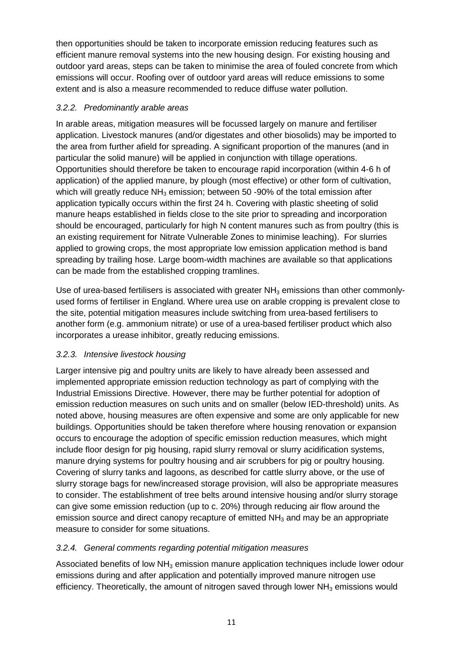then opportunities should be taken to incorporate emission reducing features such as efficient manure removal systems into the new housing design. For existing housing and outdoor yard areas, steps can be taken to minimise the area of fouled concrete from which emissions will occur. Roofing over of outdoor yard areas will reduce emissions to some extent and is also a measure recommended to reduce diffuse water pollution.

#### *3.2.2. Predominantly arable areas*

In arable areas, mitigation measures will be focussed largely on manure and fertiliser application. Livestock manures (and/or digestates and other biosolids) may be imported to the area from further afield for spreading. A significant proportion of the manures (and in particular the solid manure) will be applied in conjunction with tillage operations. Opportunities should therefore be taken to encourage rapid incorporation (within 4-6 h of application) of the applied manure, by plough (most effective) or other form of cultivation, which will greatly reduce  $NH<sub>3</sub>$  emission; between 50 -90% of the total emission after application typically occurs within the first 24 h. Covering with plastic sheeting of solid manure heaps established in fields close to the site prior to spreading and incorporation should be encouraged, particularly for high N content manures such as from poultry (this is an existing requirement for Nitrate Vulnerable Zones to minimise leaching). For slurries applied to growing crops, the most appropriate low emission application method is band spreading by trailing hose. Large boom-width machines are available so that applications can be made from the established cropping tramlines.

Use of urea-based fertilisers is associated with greater  $NH<sub>3</sub>$  emissions than other commonlyused forms of fertiliser in England. Where urea use on arable cropping is prevalent close to the site, potential mitigation measures include switching from urea-based fertilisers to another form (e.g. ammonium nitrate) or use of a urea-based fertiliser product which also incorporates a urease inhibitor, greatly reducing emissions.

#### *3.2.3. Intensive livestock housing*

Larger intensive pig and poultry units are likely to have already been assessed and implemented appropriate emission reduction technology as part of complying with the Industrial Emissions Directive. However, there may be further potential for adoption of emission reduction measures on such units and on smaller (below IED-threshold) units. As noted above, housing measures are often expensive and some are only applicable for new buildings. Opportunities should be taken therefore where housing renovation or expansion occurs to encourage the adoption of specific emission reduction measures, which might include floor design for pig housing, rapid slurry removal or slurry acidification systems, manure drying systems for poultry housing and air scrubbers for pig or poultry housing. Covering of slurry tanks and lagoons, as described for cattle slurry above, or the use of slurry storage bags for new/increased storage provision, will also be appropriate measures to consider. The establishment of tree belts around intensive housing and/or slurry storage can give some emission reduction (up to c. 20%) through reducing air flow around the emission source and direct canopy recapture of emitted  $NH<sub>3</sub>$  and may be an appropriate measure to consider for some situations.

#### *3.2.4. General comments regarding potential mitigation measures*

Associated benefits of low  $NH<sub>3</sub>$  emission manure application techniques include lower odour emissions during and after application and potentially improved manure nitrogen use efficiency. Theoretically, the amount of nitrogen saved through lower  $NH<sub>3</sub>$  emissions would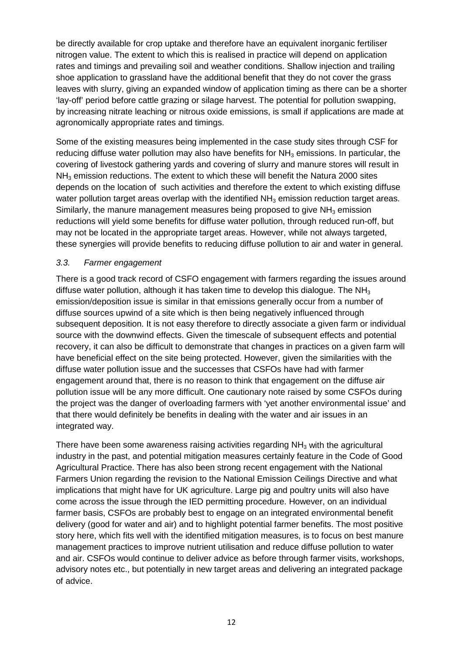be directly available for crop uptake and therefore have an equivalent inorganic fertiliser nitrogen value. The extent to which this is realised in practice will depend on application rates and timings and prevailing soil and weather conditions. Shallow injection and trailing shoe application to grassland have the additional benefit that they do not cover the grass leaves with slurry, giving an expanded window of application timing as there can be a shorter 'lay-off' period before cattle grazing or silage harvest. The potential for pollution swapping, by increasing nitrate leaching or nitrous oxide emissions, is small if applications are made at agronomically appropriate rates and timings.

Some of the existing measures being implemented in the case study sites through CSF for reducing diffuse water pollution may also have benefits for  $NH<sub>3</sub>$  emissions. In particular, the covering of livestock gathering yards and covering of slurry and manure stores will result in  $NH<sub>3</sub>$  emission reductions. The extent to which these will benefit the Natura 2000 sites depends on the location of such activities and therefore the extent to which existing diffuse water pollution target areas overlap with the identified  $NH<sub>3</sub>$  emission reduction target areas. Similarly, the manure management measures being proposed to give  $NH<sub>3</sub>$  emission reductions will yield some benefits for diffuse water pollution, through reduced run-off, but may not be located in the appropriate target areas. However, while not always targeted, these synergies will provide benefits to reducing diffuse pollution to air and water in general.

#### *3.3. Farmer engagement*

There is a good track record of CSFO engagement with farmers regarding the issues around diffuse water pollution, although it has taken time to develop this dialogue. The  $NH<sub>3</sub>$ emission/deposition issue is similar in that emissions generally occur from a number of diffuse sources upwind of a site which is then being negatively influenced through subsequent deposition. It is not easy therefore to directly associate a given farm or individual source with the downwind effects. Given the timescale of subsequent effects and potential recovery, it can also be difficult to demonstrate that changes in practices on a given farm will have beneficial effect on the site being protected. However, given the similarities with the diffuse water pollution issue and the successes that CSFOs have had with farmer engagement around that, there is no reason to think that engagement on the diffuse air pollution issue will be any more difficult. One cautionary note raised by some CSFOs during the project was the danger of overloading farmers with 'yet another environmental issue' and that there would definitely be benefits in dealing with the water and air issues in an integrated way.

There have been some awareness raising activities regarding  $NH<sub>3</sub>$  with the agricultural industry in the past, and potential mitigation measures certainly feature in the Code of Good Agricultural Practice. There has also been strong recent engagement with the National Farmers Union regarding the revision to the National Emission Ceilings Directive and what implications that might have for UK agriculture. Large pig and poultry units will also have come across the issue through the IED permitting procedure. However, on an individual farmer basis, CSFOs are probably best to engage on an integrated environmental benefit delivery (good for water and air) and to highlight potential farmer benefits. The most positive story here, which fits well with the identified mitigation measures, is to focus on best manure management practices to improve nutrient utilisation and reduce diffuse pollution to water and air. CSFOs would continue to deliver advice as before through farmer visits, workshops, advisory notes etc., but potentially in new target areas and delivering an integrated package of advice.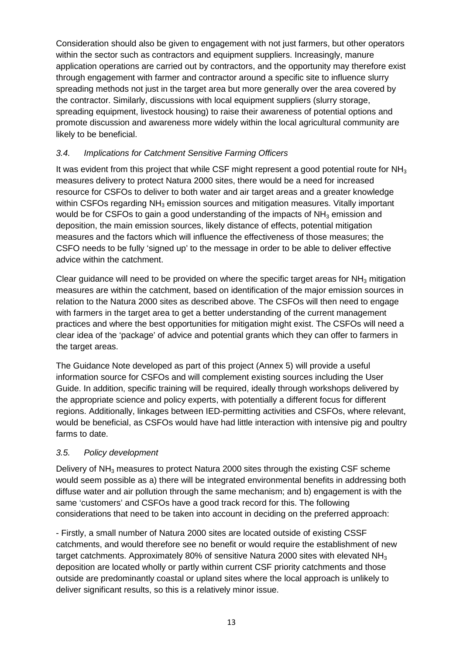Consideration should also be given to engagement with not just farmers, but other operators within the sector such as contractors and equipment suppliers. Increasingly, manure application operations are carried out by contractors, and the opportunity may therefore exist through engagement with farmer and contractor around a specific site to influence slurry spreading methods not just in the target area but more generally over the area covered by the contractor. Similarly, discussions with local equipment suppliers (slurry storage, spreading equipment, livestock housing) to raise their awareness of potential options and promote discussion and awareness more widely within the local agricultural community are likely to be beneficial.

#### *3.4. Implications for Catchment Sensitive Farming Officers*

It was evident from this project that while CSF might represent a good potential route for  $NH<sub>3</sub>$ measures delivery to protect Natura 2000 sites, there would be a need for increased resource for CSFOs to deliver to both water and air target areas and a greater knowledge within CSFOs regarding NH<sub>3</sub> emission sources and mitigation measures. Vitally important would be for CSFOs to gain a good understanding of the impacts of  $NH<sub>3</sub>$  emission and deposition, the main emission sources, likely distance of effects, potential mitigation measures and the factors which will influence the effectiveness of those measures; the CSFO needs to be fully 'signed up' to the message in order to be able to deliver effective advice within the catchment.

Clear guidance will need to be provided on where the specific target areas for  $NH<sub>3</sub>$  mitigation measures are within the catchment, based on identification of the major emission sources in relation to the Natura 2000 sites as described above. The CSFOs will then need to engage with farmers in the target area to get a better understanding of the current management practices and where the best opportunities for mitigation might exist. The CSFOs will need a clear idea of the 'package' of advice and potential grants which they can offer to farmers in the target areas.

The Guidance Note developed as part of this project (Annex 5) will provide a useful information source for CSFOs and will complement existing sources including the User Guide. In addition, specific training will be required, ideally through workshops delivered by the appropriate science and policy experts, with potentially a different focus for different regions. Additionally, linkages between IED-permitting activities and CSFOs, where relevant, would be beneficial, as CSFOs would have had little interaction with intensive pig and poultry farms to date.

#### *3.5. Policy development*

Delivery of NH<sub>3</sub> measures to protect Natura 2000 sites through the existing CSF scheme would seem possible as a) there will be integrated environmental benefits in addressing both diffuse water and air pollution through the same mechanism; and b) engagement is with the same 'customers' and CSFOs have a good track record for this. The following considerations that need to be taken into account in deciding on the preferred approach:

- Firstly, a small number of Natura 2000 sites are located outside of existing CSSF catchments, and would therefore see no benefit or would require the establishment of new target catchments. Approximately 80% of sensitive Natura 2000 sites with elevated  $NH<sub>3</sub>$ deposition are located wholly or partly within current CSF priority catchments and those outside are predominantly coastal or upland sites where the local approach is unlikely to deliver significant results, so this is a relatively minor issue.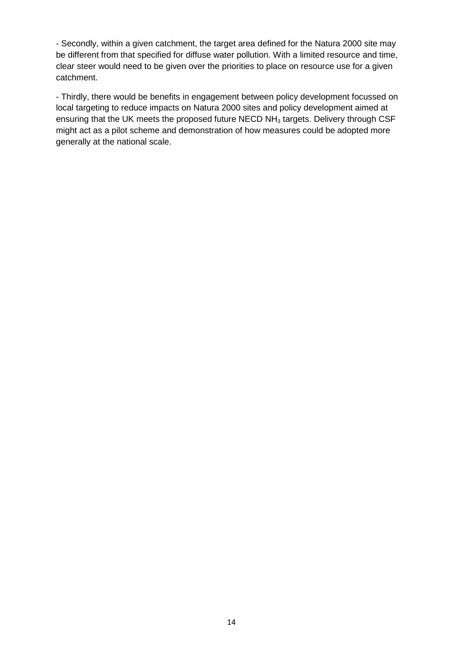- Secondly, within a given catchment, the target area defined for the Natura 2000 site may be different from that specified for diffuse water pollution. With a limited resource and time, clear steer would need to be given over the priorities to place on resource use for a given catchment.

- Thirdly, there would be benefits in engagement between policy development focussed on local targeting to reduce impacts on Natura 2000 sites and policy development aimed at ensuring that the UK meets the proposed future NECD NH<sub>3</sub> targets. Delivery through CSF might act as a pilot scheme and demonstration of how measures could be adopted more generally at the national scale.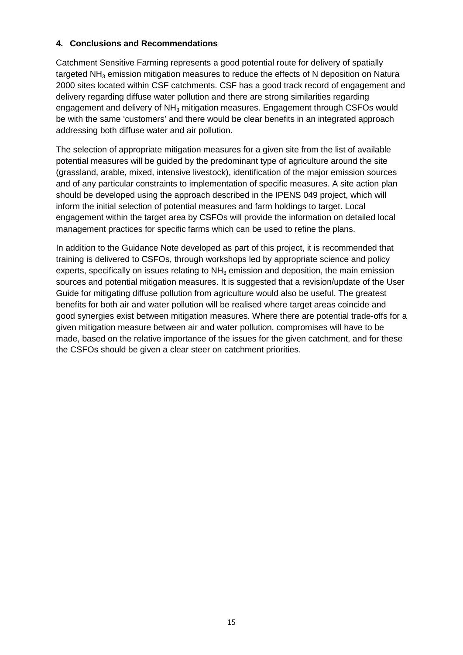#### **4. Conclusions and Recommendations**

Catchment Sensitive Farming represents a good potential route for delivery of spatially targeted  $NH<sub>3</sub>$  emission mitigation measures to reduce the effects of N deposition on Natura 2000 sites located within CSF catchments. CSF has a good track record of engagement and delivery regarding diffuse water pollution and there are strong similarities regarding engagement and delivery of NH<sub>3</sub> mitigation measures. Engagement through CSFOs would be with the same 'customers' and there would be clear benefits in an integrated approach addressing both diffuse water and air pollution.

The selection of appropriate mitigation measures for a given site from the list of available potential measures will be guided by the predominant type of agriculture around the site (grassland, arable, mixed, intensive livestock), identification of the major emission sources and of any particular constraints to implementation of specific measures. A site action plan should be developed using the approach described in the IPENS 049 project, which will inform the initial selection of potential measures and farm holdings to target. Local engagement within the target area by CSFOs will provide the information on detailed local management practices for specific farms which can be used to refine the plans.

In addition to the Guidance Note developed as part of this project, it is recommended that training is delivered to CSFOs, through workshops led by appropriate science and policy experts, specifically on issues relating to  $NH<sub>3</sub>$  emission and deposition, the main emission sources and potential mitigation measures. It is suggested that a revision/update of the User Guide for mitigating diffuse pollution from agriculture would also be useful. The greatest benefits for both air and water pollution will be realised where target areas coincide and good synergies exist between mitigation measures. Where there are potential trade-offs for a given mitigation measure between air and water pollution, compromises will have to be made, based on the relative importance of the issues for the given catchment, and for these the CSFOs should be given a clear steer on catchment priorities.